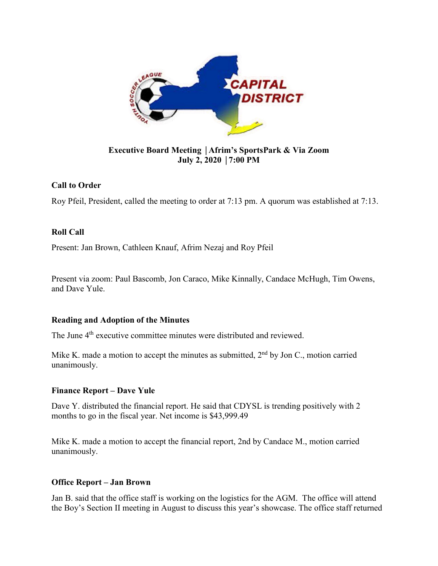

# **Executive Board Meeting** │**Afrim's SportsPark & Via Zoom July 2, 2020** │**7:00 PM**

# **Call to Order**

Roy Pfeil, President, called the meeting to order at 7:13 pm. A quorum was established at 7:13.

## **Roll Call**

Present: Jan Brown, Cathleen Knauf, Afrim Nezaj and Roy Pfeil

Present via zoom: Paul Bascomb, Jon Caraco, Mike Kinnally, Candace McHugh, Tim Owens, and Dave Yule.

## **Reading and Adoption of the Minutes**

The June 4<sup>th</sup> executive committee minutes were distributed and reviewed.

Mike K. made a motion to accept the minutes as submitted,  $2<sup>nd</sup>$  by Jon C., motion carried unanimously.

## **Finance Report – Dave Yule**

Dave Y. distributed the financial report. He said that CDYSL is trending positively with 2 months to go in the fiscal year. Net income is \$43,999.49

Mike K. made a motion to accept the financial report, 2nd by Candace M., motion carried unanimously.

## **Office Report – Jan Brown**

Jan B. said that the office staff is working on the logistics for the AGM. The office will attend the Boy's Section II meeting in August to discuss this year's showcase. The office staff returned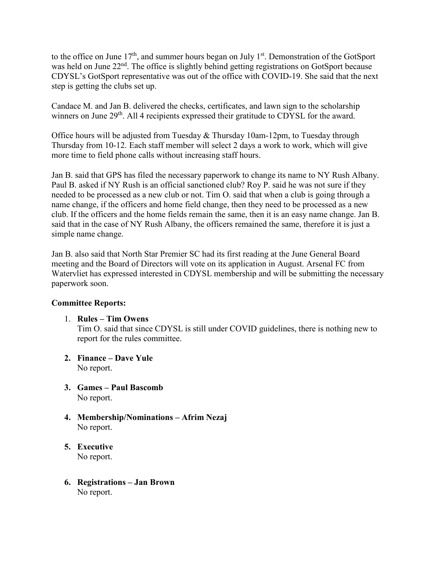to the office on June 17<sup>th</sup>, and summer hours began on July 1<sup>st</sup>. Demonstration of the GotSport was held on June 22<sup>nd</sup>. The office is slightly behind getting registrations on GotSport because CDYSL's GotSport representative was out of the office with COVID-19. She said that the next step is getting the clubs set up.

Candace M. and Jan B. delivered the checks, certificates, and lawn sign to the scholarship winners on June 29<sup>th</sup>. All 4 recipients expressed their gratitude to CDYSL for the award.

Office hours will be adjusted from Tuesday & Thursday 10am-12pm, to Tuesday through Thursday from 10-12. Each staff member will select 2 days a work to work, which will give more time to field phone calls without increasing staff hours.

Jan B. said that GPS has filed the necessary paperwork to change its name to NY Rush Albany. Paul B. asked if NY Rush is an official sanctioned club? Roy P. said he was not sure if they needed to be processed as a new club or not. Tim O. said that when a club is going through a name change, if the officers and home field change, then they need to be processed as a new club. If the officers and the home fields remain the same, then it is an easy name change. Jan B. said that in the case of NY Rush Albany, the officers remained the same, therefore it is just a simple name change.

Jan B. also said that North Star Premier SC had its first reading at the June General Board meeting and the Board of Directors will vote on its application in August. Arsenal FC from Watervliet has expressed interested in CDYSL membership and will be submitting the necessary paperwork soon.

## **Committee Reports:**

1. **Rules – Tim Owens**

Tim O. said that since CDYSL is still under COVID guidelines, there is nothing new to report for the rules committee.

- **2. Finance – Dave Yule** No report.
- **3. Games – Paul Bascomb** No report.
- **4. Membership/Nominations – Afrim Nezaj** No report.
- **5. Executive**  No report.
- **6. Registrations – Jan Brown** No report.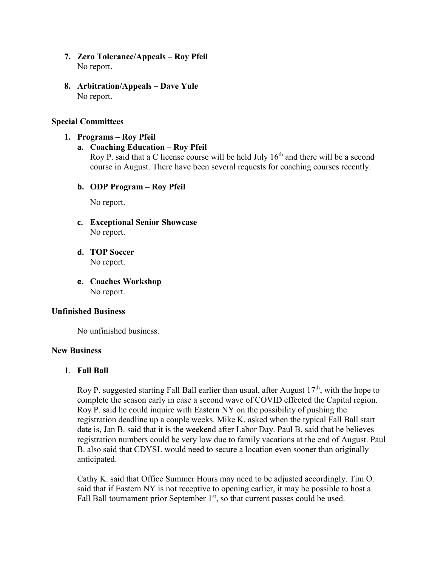- **7. Zero Tolerance/Appeals – Roy Pfeil**  No report.
- **8. Arbitration/Appeals – Dave Yule** No report.

## **Special Committees**

**1. Programs – Roy Pfeil**

## **a. Coaching Education – Roy Pfeil**

Roy P. said that a C license course will be held July  $16<sup>th</sup>$  and there will be a second course in August. There have been several requests for coaching courses recently.

**b. ODP Program – Roy Pfeil**

No report.

- **c. Exceptional Senior Showcase** No report.
- **d. TOP Soccer** No report.
- **e. Coaches Workshop** No report.

#### **Unfinished Business**

No unfinished business.

### **New Business**

## 1. **Fall Ball**

Roy P. suggested starting Fall Ball earlier than usual, after August  $17<sup>th</sup>$ , with the hope to complete the season early in case a second wave of COVID effected the Capital region. Roy P. said he could inquire with Eastern NY on the possibility of pushing the registration deadline up a couple weeks. Mike K. asked when the typical Fall Ball start date is, Jan B. said that it is the weekend after Labor Day. Paul B. said that he believes registration numbers could be very low due to family vacations at the end of August. Paul B. also said that CDYSL would need to secure a location even sooner than originally anticipated.

Cathy K. said that Office Summer Hours may need to be adjusted accordingly. Tim O. said that if Eastern NY is not receptive to opening earlier, it may be possible to host a Fall Ball tournament prior September  $1<sup>st</sup>$ , so that current passes could be used.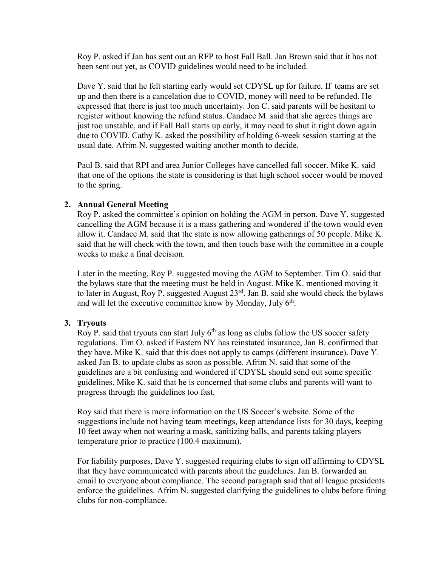Roy P. asked if Jan has sent out an RFP to host Fall Ball. Jan Brown said that it has not been sent out yet, as COVID guidelines would need to be included.

Dave Y. said that he felt starting early would set CDYSL up for failure. If teams are set up and then there is a cancelation due to COVID, money will need to be refunded. He expressed that there is just too much uncertainty. Jon C. said parents will be hesitant to register without knowing the refund status. Candace M. said that she agrees things are just too unstable, and if Fall Ball starts up early, it may need to shut it right down again due to COVID. Cathy K. asked the possibility of holding 6-week session starting at the usual date. Afrim N. suggested waiting another month to decide.

Paul B. said that RPI and area Junior Colleges have cancelled fall soccer. Mike K. said that one of the options the state is considering is that high school soccer would be moved to the spring.

## **2. Annual General Meeting**

Roy P. asked the committee's opinion on holding the AGM in person. Dave Y. suggested cancelling the AGM because it is a mass gathering and wondered if the town would even allow it. Candace M. said that the state is now allowing gatherings of 50 people. Mike K. said that he will check with the town, and then touch base with the committee in a couple weeks to make a final decision.

Later in the meeting, Roy P. suggested moving the AGM to September. Tim O. said that the bylaws state that the meeting must be held in August. Mike K. mentioned moving it to later in August, Roy P. suggested August  $23<sup>rd</sup>$ . Jan B. said she would check the bylaws and will let the executive committee know by Monday, July  $6<sup>th</sup>$ .

## **3. Tryouts**

Roy P. said that tryouts can start July  $6<sup>th</sup>$  as long as clubs follow the US soccer safety regulations. Tim O. asked if Eastern NY has reinstated insurance, Jan B. confirmed that they have. Mike K. said that this does not apply to camps (different insurance). Dave Y. asked Jan B. to update clubs as soon as possible. Afrim N. said that some of the guidelines are a bit confusing and wondered if CDYSL should send out some specific guidelines. Mike K. said that he is concerned that some clubs and parents will want to progress through the guidelines too fast.

Roy said that there is more information on the US Soccer's website. Some of the suggestions include not having team meetings, keep attendance lists for 30 days, keeping 10 feet away when not wearing a mask, sanitizing balls, and parents taking players temperature prior to practice (100.4 maximum).

For liability purposes, Dave Y. suggested requiring clubs to sign off affirming to CDYSL that they have communicated with parents about the guidelines. Jan B. forwarded an email to everyone about compliance. The second paragraph said that all league presidents enforce the guidelines. Afrim N. suggested clarifying the guidelines to clubs before fining clubs for non-compliance.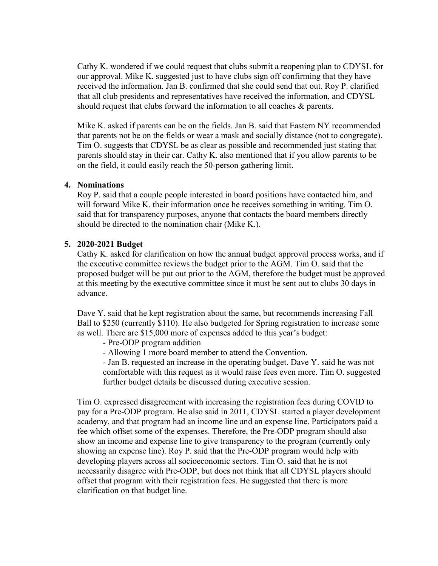Cathy K. wondered if we could request that clubs submit a reopening plan to CDYSL for our approval. Mike K. suggested just to have clubs sign off confirming that they have received the information. Jan B. confirmed that she could send that out. Roy P. clarified that all club presidents and representatives have received the information, and CDYSL should request that clubs forward the information to all coaches & parents.

Mike K. asked if parents can be on the fields. Jan B. said that Eastern NY recommended that parents not be on the fields or wear a mask and socially distance (not to congregate). Tim O. suggests that CDYSL be as clear as possible and recommended just stating that parents should stay in their car. Cathy K. also mentioned that if you allow parents to be on the field, it could easily reach the 50-person gathering limit.

### **4. Nominations**

Roy P. said that a couple people interested in board positions have contacted him, and will forward Mike K. their information once he receives something in writing. Tim O. said that for transparency purposes, anyone that contacts the board members directly should be directed to the nomination chair (Mike K.).

## **5. 2020-2021 Budget**

Cathy K. asked for clarification on how the annual budget approval process works, and if the executive committee reviews the budget prior to the AGM. Tim O. said that the proposed budget will be put out prior to the AGM, therefore the budget must be approved at this meeting by the executive committee since it must be sent out to clubs 30 days in advance.

Dave Y. said that he kept registration about the same, but recommends increasing Fall Ball to \$250 (currently \$110). He also budgeted for Spring registration to increase some as well. There are \$15,000 more of expenses added to this year's budget:

- Pre-ODP program addition

- Allowing 1 more board member to attend the Convention.

- Jan B. requested an increase in the operating budget. Dave Y. said he was not comfortable with this request as it would raise fees even more. Tim O. suggested further budget details be discussed during executive session.

Tim O. expressed disagreement with increasing the registration fees during COVID to pay for a Pre-ODP program. He also said in 2011, CDYSL started a player development academy, and that program had an income line and an expense line. Participators paid a fee which offset some of the expenses. Therefore, the Pre-ODP program should also show an income and expense line to give transparency to the program (currently only showing an expense line). Roy P. said that the Pre-ODP program would help with developing players across all socioeconomic sectors. Tim O. said that he is not necessarily disagree with Pre-ODP, but does not think that all CDYSL players should offset that program with their registration fees. He suggested that there is more clarification on that budget line.